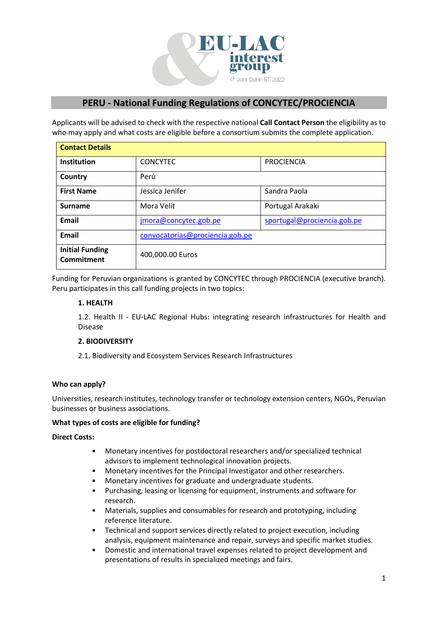

# **PERU - National Funding Regulations of CONCYTEC/PROCIENCIA**

Applicants will be advised to check with the respective national **Call Contact Person** the eligibility as to who may apply and what costs are eligible before a consortium submits the complete application.

| <b>Contact Details</b>                      |                                 |                             |
|---------------------------------------------|---------------------------------|-----------------------------|
| <b>Institution</b>                          | <b>CONCYTEC</b>                 | <b>PROCIENCIA</b>           |
| Country                                     | Perú                            |                             |
| <b>First Name</b>                           | Jessica Jenifer                 | Sandra Paola                |
| <b>Surname</b>                              | Mora Velit                      | Portugal Arakaki            |
| Email                                       | jmora@concytec.gob.pe           | sportugal@prociencia.gob.pe |
| Email                                       | convocatorias@prociencia.gob.pe |                             |
| <b>Initial Funding</b><br><b>Commitment</b> | 400,000.00 Euros                |                             |

Funding for Peruvian organizations is granted by CONCYTEC through PROCIENCIA (executive branch). Peru participates in this call funding projects in two topics:

## **1. HEALTH**

1.2. Health II - EU-LAC Regional Hubs: integrating research infrastructures for Health and Disease

# **2. BIODIVERSITY**

2.1. Biodiversity and Ecosystem Services Research Infrastructures

# **Who can apply?**

Universities, research institutes, technology transfer or technology extension centers, NGOs, Peruvian businesses or business associations.

## **What types of costs are eligible for funding?**

## **Direct Costs:**

- Monetary incentives for postdoctoral researchers and/or specialized technical advisors to implement technological innovation projects.
- Monetary incentives for the Principal Investigator and other researchers.
- Monetary incentives for graduate and undergraduate students.
- Purchasing, leasing or licensing for equipment, instruments and software for research.
- Materials, supplies and consumables for research and prototyping, including reference literature.
- Technical and support services directly related to project execution, including analysis, equipment maintenance and repair, surveys and specific market studies.
- Domestic and international travel expenses related to project development and presentations of results in specialized meetings and fairs.